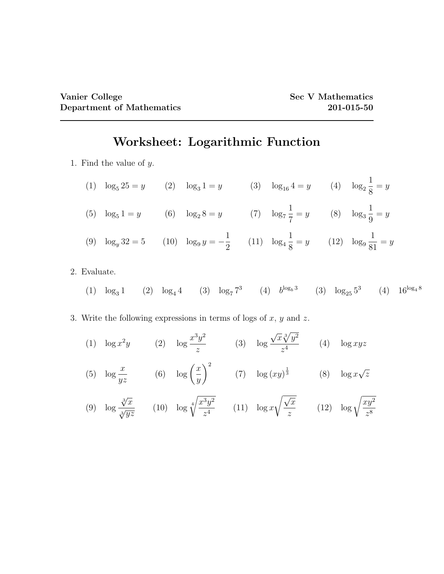## Worksheet: Logarithmic Function

- 1. Find the value of y.
	- (1)  $\log_5 25 = y$  (2)  $\log_3 1 = y$  (3)  $\log_{16} 4 = y$  (4)  $\log_2$ 1 8  $= y$ (5)  $\log_5 1 = y$  (6)  $\log_2 8 = y$  (7)  $\log_7$ 1  $\frac{1}{7} = y$  (8)  $\log_3$ 1 9  $= y$ (9)  $\log_y 32 = 5$  (10)  $\log_9 y = -\frac{1}{2}$  $\frac{1}{2}$  (11)  $\log_4$ 1  $\frac{1}{8} = y$  (12)  $\log_9$ 1 81  $= y$
- 2. Evaluate.
	- (1)  $\log_3 1$  (2)  $\log_4 4$  (3)  $\log_7 7^3$  (4)  $b^{\log_b 3}$  (3)  $\log_{25} 5^3$  (4)  $16^{\log_4 8}$
- 3. Write the following expressions in terms of logs of  $x, y$  and  $z$ .
	- (1)  $\log x^2y$  (2)  $\log \frac{x^3y^2}{y^2}$ z (3) log √  $\overline{x}\sqrt[3]{y^2}$  $\frac{\sqrt{y}}{z^4}$  (4)  $\log xyz$ (5)  $\log \frac{x}{x}$ yz (6)  $\log\left(\frac{x}{x}\right)$  $\hat{y}$  $\setminus^2$ (7)  $\log(xy)^{\frac{1}{3}}$  (8)  $\log x$ √ z
	- (9) log  $\sqrt[3]{x}$  $\frac{\sqrt{x}}{\sqrt[3]{yz}}$  (10)  $\log \sqrt[4]{x}$  $\sqrt[4]{x^3y^2}$  $\frac{9}{z^4}$  (11)  $\log x$  $\sqrt{x}$ z  $(12)$   $\log \sqrt{\frac{xy^2}{s}}$ z 8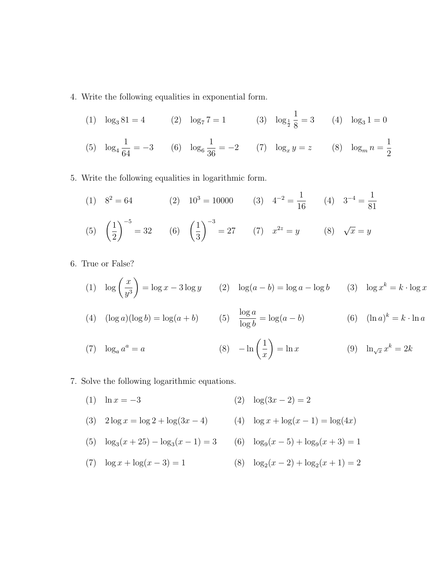- 4. Write the following equalities in exponential form.
	- (1)  $\log_3 81 = 4$  (2)  $\log_7 7 = 1$  (3)  $\log_{\frac{1}{2}}$ 1  $\frac{1}{8} = 3$  (4)  $\log_3 1 = 0$

(5) 
$$
\log_4 \frac{1}{64} = -3
$$
 (6)  $\log_6 \frac{1}{36} = -2$  (7)  $\log_x y = z$  (8)  $\log_m n = \frac{1}{2}$ 

- 5. Write the following equalities in logarithmic form.
	- (1)  $8^2 = 64$  (2)  $10^3 = 10000$  (3)  $4^{-2} = \frac{1}{10}$ 16  $(4)$  3<sup>-4</sup> =  $\frac{1}{21}$ 81  $(5) \left( \frac{1}{2} \right)$ 2  $\bigg)^{-5} = 32$  (6)  $\bigg(\frac{1}{2}\bigg)$ 3  $\bigwedge$ <sup>-3</sup>  $y = 27$  (7)  $x^{2z} = y$  (8)  $\sqrt{x} = y$
- 6. True or False?

(1) 
$$
\log\left(\frac{x}{y^3}\right) = \log x - 3\log y \qquad (2) \quad \log(a-b) = \log a - \log b \qquad (3) \quad \log x^k = k \cdot \log x
$$

(4) 
$$
(\log a)(\log b) = \log(a+b)
$$
 (5)  $\frac{\log a}{\log b} = \log(a-b)$  (6)  $(\ln a)^k = k \cdot \ln a$ 

(7) 
$$
\log_a a^a = a
$$
 (8)  $-\ln\left(\frac{1}{x}\right) = \ln x$  (9)  $\ln_{\sqrt{x}} x^k = 2k$ 

7. Solve the following logarithmic equations.

- (1)  $\ln x = -3$  (2)  $\log(3x 2) = 2$
- (3)  $2 \log x = \log 2 + \log(3x 4)$  (4)  $\log x + \log(x 1) = \log(4x)$
- (5)  $\log_3(x+25) \log_3(x-1) = 3$  (6)  $\log_9(x-5) + \log_9(x+3) = 1$
- (7)  $\log x + \log(x 3) = 1$  $(x-2) + \log_2(x+1) = 2$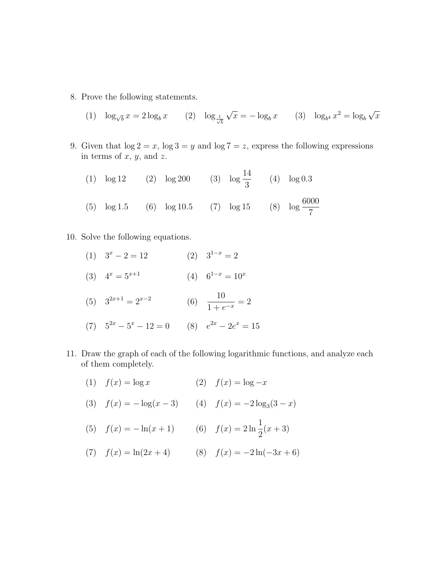8. Prove the following statements.

(1) 
$$
\log_{\sqrt{b}} x = 2 \log_b x
$$
 (2)  $\log_{\frac{1}{\sqrt{b}}} \sqrt{x} = -\log_b x$  (3)  $\log_{b^4} x^2 = \log_b \sqrt{x}$ 

- 9. Given that  $\log 2 = x$ ,  $\log 3 = y$  and  $\log 7 = z$ , express the following expressions in terms of  $x, y$ , and  $z$ .
	- (1)  $\log 12$  (2)  $\log 200$  (3)  $\log \frac{14}{3}$ 3 (4) log 0.3 (5)  $\log 1.5$  (6)  $\log 10.5$  (7)  $\log 15$  (8)  $\log \frac{6000}{5}$ 7
- 10. Solve the following equations.
	- (1)  $3^x 2 = 12$  (2)  $3^{1-x} = 2$ (3)  $4^x = 5^{x+1}$  (4)  $6^{1-x} = 10^x$
	- (5)  $3^{2x+1} = 2^{x-2}$  (6)  $\frac{10}{1}$  $\frac{16}{1+e^{-x}} = 2$
	- (7)  $5^{2x} 5^x 12 = 0$  (8)  $e^{2x} 2e^x = 15$
- 11. Draw the graph of each of the following logarithmic functions, and analyze each of them completely.
	- (1)  $f(x) = \log x$  (2)  $f(x) = \log -x$
	- (3)  $f(x) = -\log(x 3)$  (4)  $f(x) = -2\log_3(3 x)$
	- (5)  $f(x) = -\ln(x+1)$  (6)  $f(x) = 2\ln\frac{1}{2}$ 2  $(x + 3)$
	- (7)  $f(x) = \ln(2x + 4)$  (8)  $f(x) = -2\ln(-3x + 6)$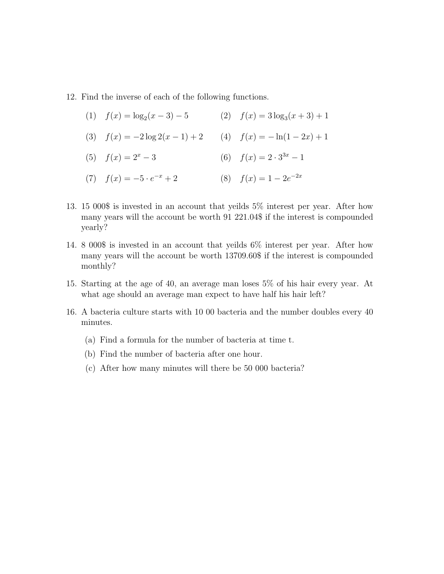- 12. Find the inverse of each of the following functions.
	- (1)  $f(x) = \log_2(x-3) 5$  (2)  $f(x) = 3\log_3(x+3) + 1$ (3)  $f(x) = -2 \log 2(x - 1) + 2$  (4)  $f(x) = -\ln(1 - 2x) + 1$ (5)  $f(x) = 2^x - 3$  (6)  $f(x) = 2 \cdot 3^{3x} - 1$ (7)  $f(x) = -5 \cdot e^{-x} + 2$  $x^{-x} + 2$  (8)  $f(x) = 1 - 2e^{-2x}$
- 13. 15 000\$ is invested in an account that yeilds 5% interest per year. After how many years will the account be worth 91 221.04\$ if the interest is compounded yearly?
- 14. 8 000\$ is invested in an account that yeilds 6% interest per year. After how many years will the account be worth 13709.60\$ if the interest is compounded monthly?
- 15. Starting at the age of 40, an average man loses 5% of his hair every year. At what age should an average man expect to have half his hair left?
- 16. A bacteria culture starts with 10 00 bacteria and the number doubles every 40 minutes.
	- (a) Find a formula for the number of bacteria at time t.
	- (b) Find the number of bacteria after one hour.
	- (c) After how many minutes will there be 50 000 bacteria?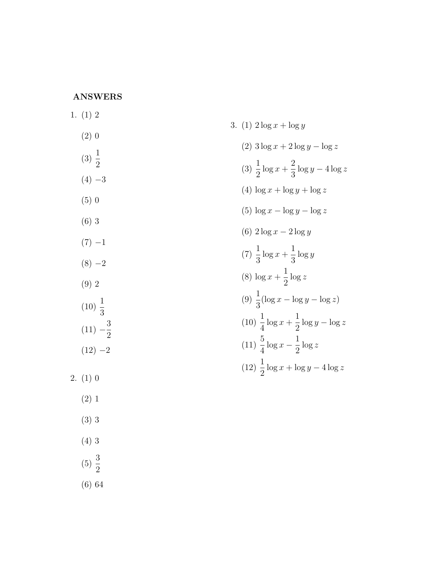## ANSWERS

| 1. $(1)$ 2          |                                                          |
|---------------------|----------------------------------------------------------|
| (2)0                | 3. (1) $2 \log x + \log y$                               |
|                     | $(2)$ 3 log x + 2 log y - log z                          |
| $(3) \frac{1}{2}$   | (3) $\frac{1}{2} \log x + \frac{2}{3} \log y - 4 \log z$ |
| $(4) -3$            | (4) $\log x + \log y + \log z$                           |
| $(5)$ 0             |                                                          |
| $(6)$ 3             | (5) $\log x - \log y - \log z$                           |
|                     | (6) $2 \log x - 2 \log y$                                |
| $(7) -1$            | $(7)\frac{1}{3}\log x+\frac{1}{3}\log y$                 |
| $(8) -2$            |                                                          |
| (9) 2               | (8) $\log x + \frac{1}{2} \log z$                        |
| $(10)\frac{1}{3}$   | (9) $\frac{1}{3}(\log x - \log y - \log z)$              |
| $(11) -\frac{3}{2}$ | $(10)\frac{1}{4}\log x+\frac{1}{2}\log y-\log z$         |
| $(12) -2$           | $(11)\frac{5}{4}\log x-\frac{1}{2}\log z$                |
| 2. (1) 0            | $(12)\frac{1}{2}\log x + \log y - 4\log z$               |
|                     |                                                          |
| (2) 1               |                                                          |
| $(3)$ 3             |                                                          |
| (4)3                |                                                          |

- (5)
- $\frac{3}{2}$
- (6) 64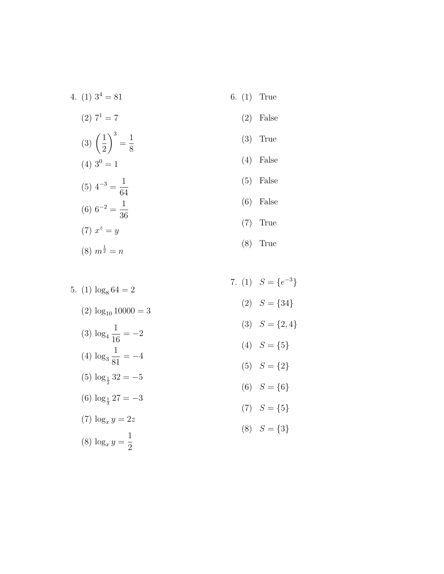- 4. (1)  $3^4 = 81$  $(2)$   $7<sup>1</sup> = 7$ (3)  $\left(\frac{1}{2}\right)^3$ =  $\frac{1}{8}$  $(4)$  3<sup>0</sup> = 1  $(5)$  4<sup>-3</sup> = 1 64  $(6)$  6<sup>-2</sup> = 1 36  $(7) x^2 = y$  $(8)$   $m^{\frac{1}{2}} = n$ 
	- 6. (1) True
		- (2) False
		- (3) True
		- (4) False
		- (5) False
		- (6) False
		- (7) True
		- (8) True
- 5. (1)  $\log_8 64 = 2$  $(2) \log_{10} 10000 = 3$ (3) log 4 1 16  $=-2$ (4) log 3 1 81  $=-4$  $(5) \log_{\frac{1}{2}} 32 = -5$ (6)  $\log_{\frac{1}{3}} 27 = -3$  $(7) \log_x y = 2z$  $\frac{1}{2}$

 $(8) \log_x y =$ 

- 7. (1)  $S = \{e^{-3}\}\$  $(2)$   $S = \{34\}$ (3)  $S = \{2, 4\}$ (4)  $S = \{5\}$  $(5)$   $S = \{2\}$ 
	- (6)  $S = \{6\}$
	- $(7)$   $S = \{5\}$
	- $(8)$   $S = \{3\}$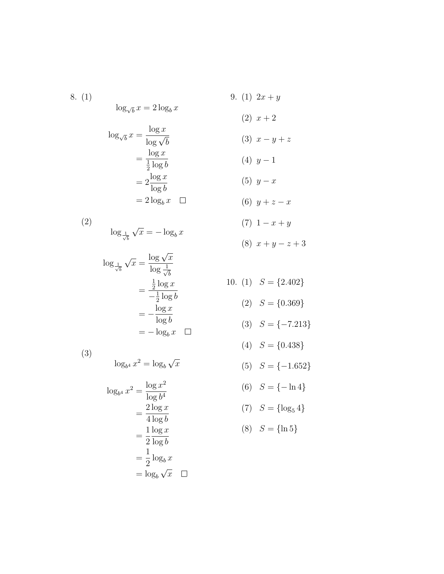8. (1)  $\log_{\sqrt{b}} x = 2 \log_b x$ 

$$
\log_{\sqrt{b}} x = \frac{\log x}{\log \sqrt{b}}
$$

$$
= \frac{\log x}{\frac{1}{2} \log b}
$$

$$
= 2 \frac{\log x}{\log b}
$$

$$
= 2 \log_b x
$$

(2)  $\log_{\frac{1}{\sqrt{b}}}$ √  $\overline{x} = -\log_b x$ 

$$
\log_{\frac{1}{\sqrt{b}}} \sqrt{x} = \frac{\log \sqrt{x}}{\log \frac{1}{\sqrt{b}}}
$$

$$
= \frac{\frac{1}{2} \log x}{-\frac{1}{2} \log b}
$$

$$
= -\frac{\log x}{\log b}
$$

$$
= -\log_b x \quad \Box
$$

(3)

$$
\log_{b^4} x^2 = \log_b \sqrt{x}
$$

$$
\log_{b^4} x^2 = \frac{\log x^2}{\log b^4}
$$

$$
= \frac{2 \log x}{4 \log b}
$$

$$
= \frac{1}{2} \frac{\log x}{\log b}
$$

$$
= \frac{1}{2} \log_b x
$$

$$
= \log_b \sqrt{x} \quad \Box
$$

9. (1)  $2x + y$  $(2)$   $x+2$ 

$$
(3) \ x - y + z
$$

$$
(4) \ y-1
$$

$$
(5) \ y-x
$$

$$
(6) \ y+z-x
$$

$$
(7) \ \ 1-x+y
$$

$$
(8) \ x + y - z + 3
$$

10. (1) 
$$
S = \{2.402\}
$$

$$
(2) S = \{0.369\}
$$

$$
(3) \quad S = \{-7.213\}
$$

$$
(4) \quad S = \{0.438\}
$$

$$
(5) \quad S = \{-1.652\}
$$

(6) 
$$
S = \{-\ln 4\}
$$

$$
(7) \quad S = \{\log_5 4\}
$$

$$
(8) S = \{\ln 5\}
$$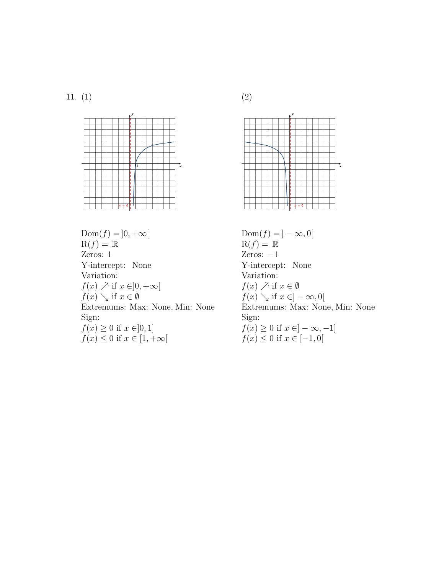11. (1)



 $Dom(f) = ]0, +\infty[$  $R(f) = \mathbb{R}$ Zeros: 1 Y-intercept: None Variation:  $f(x) \nearrow$  if  $x \in ]0, +\infty[$  $f(x) \searrow$  if  $x \in \emptyset$ Extremums: Max: None, Min: None Sign:  $f(x) \ge 0$  if  $x \in ]0,1]$  $f(x) \leq 0$  if  $x \in [1, +\infty[$ 





 $\text{Dom}(f) = ]-\infty,0[$  $R(f) = \mathbb{R}$ Zeros:  $-1$ Y-intercept: None Variation:  $f(x) \nearrow$  if  $x \in \emptyset$  $f(x) \searrow$  if  $x \in ]-\infty,0[$ Extremums: Max: None, Min: None Sign:  $f(x) \geq 0$  if  $x \in ]-\infty, -1]$  $f(x) \le 0$  if  $x \in [-1, 0]$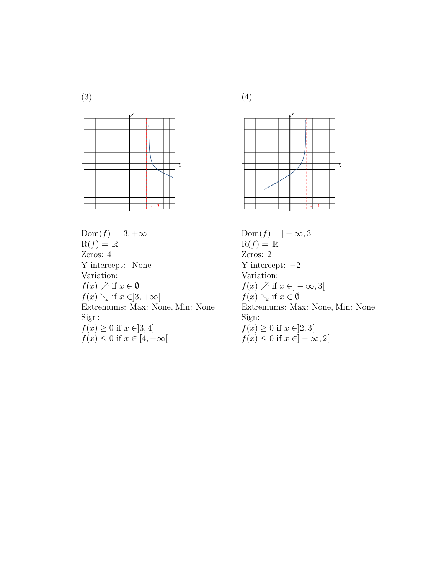

 $Dom(f) = ]3, +\infty[$  $R(f) = \mathbb{R}$ Zeros: 4 Y-intercept: None Variation:  $f(x) \nearrow$  if  $x \in \emptyset$  $f(x) \searrow$  if  $x \in ]3, +\infty[$ Extremums: Max: None, Min: None Sign:  $f(x) \ge 0$  if  $x \in ]3, 4]$  $f(x) \leq 0$  if  $x \in [4, +\infty[$ 



 $\text{Dom}(f) = ]-\infty, 3[$  $R(f) = \mathbb{R}$ Zeros: 2 Y-intercept: −2 Variation:  $f(x) \nearrow$  if  $x \in ]-\infty, 3[$  $f(x) \searrow$  if  $x \in \emptyset$ Extremums: Max: None, Min: None Sign:  $f(x) \ge 0$  if  $x \in ]2,3[$  $f(x)\leq 0$  if  $x\in ]-\infty,2[$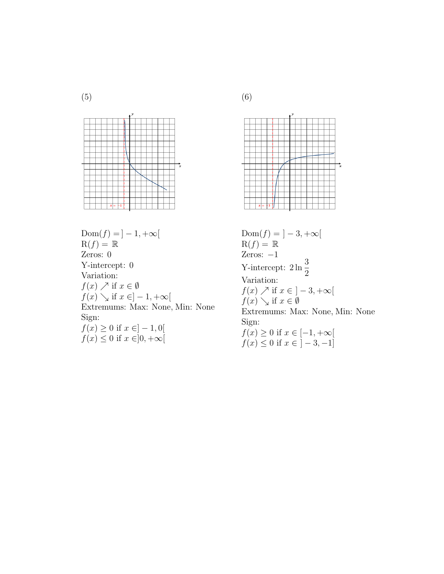



 $Dom(f) = ] - 1, +\infty[$  $R(f) = \mathbb{R}$ Zeros: 0 Y-intercept: 0 Variation:  $f(x) \nearrow$  if  $x \in \emptyset$  $f(x) \searrow$  if  $x \in ]-1, +\infty[$ Extremums: Max: None, Min: None Sign:  $f(x) \ge 0$  if  $x \in ]-1,0[$  $f(x) \leq 0$  if  $x \in ]0, +\infty[$ 



 $Dom(f) = \left] -3, +\infty \right[$  $R(f) = \mathbb{R}$ Zeros: −1 Y-intercept:  $2 \ln \frac{3}{5}$ 2 Variation:  $f(x) \nearrow$  if  $x \in \left] -3, +\infty \right[$  $f(x) \searrow$  if  $x \in \emptyset$ Extremums: Max: None, Min: None Sign:  $f(x) \geq 0$  if  $x \in [-1, +\infty[$  $f(x) \le 0$  if  $x \in [-3, -1]$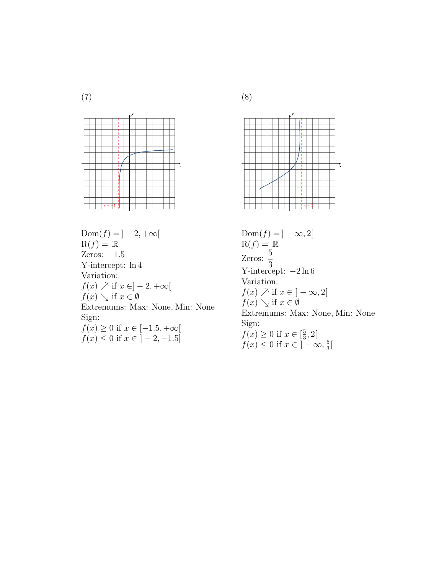(7)



 $Dom(f) = ]-2, +\infty[$  $R(f) = \mathbb{R}$ Zeros:  $-1.5$ Y-intercept: ln 4 Variation:  $f(x) \nearrow$  if  $x \in ]-2, +\infty[$  $f(x) \searrow$  if  $x \in \emptyset$ Extremums: Max: None, Min: None Sign:  $f(x) \ge 0$  if  $x \in [-1.5, +\infty[$  $f(x) \le 0$  if  $x \in \left[-2, -1.5\right]$ 



Sign:  $f(x) \geq 0$  if  $x \in \left[\frac{5}{3}\right]$ 

$$
f(x) \ge 0
$$
 if  $x \in [\frac{5}{3}, 2[$   
 $f(x) \le 0$  if  $x \in ]-\infty, \frac{5}{3}[$ 

(8)